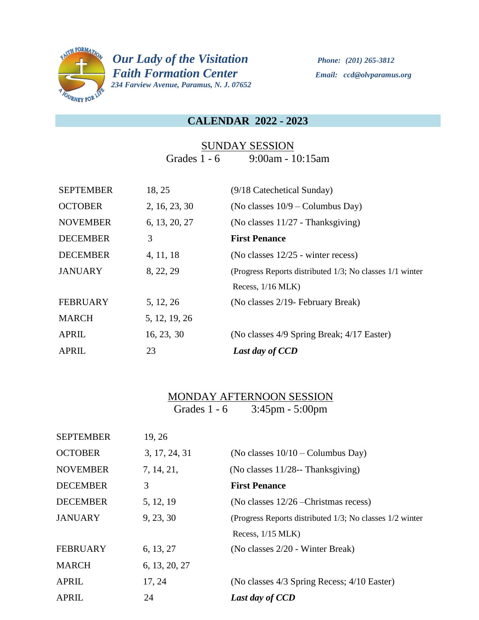

*PHITH FORMATION Our Lady of the Visitation Phone: (201) 265-3812 Faith Formation Center Email: ccd@olvparamus.org 234 Farview Avenue, Paramus, N. J. 07652* 

#### **CALENDAR 2022 - 2023**

### SUNDAY SESSION Grades 1 - 6 9:00am - 10:15am

| <b>SEPTEMBER</b> | 18, 25        | (9/18 Catechetical Sunday)                               |
|------------------|---------------|----------------------------------------------------------|
| <b>OCTOBER</b>   | 2, 16, 23, 30 | (No classes $10/9$ – Columbus Day)                       |
| <b>NOVEMBER</b>  | 6, 13, 20, 27 | (No classes $11/27$ - Thanksgiving)                      |
| <b>DECEMBER</b>  | 3             | <b>First Penance</b>                                     |
| <b>DECEMBER</b>  | 4, 11, 18     | (No classes 12/25 - winter recess)                       |
| <b>JANUARY</b>   | 8, 22, 29     | (Progress Reports distributed 1/3; No classes 1/1 winter |
|                  |               | Recess, $1/16$ MLK)                                      |
| <b>FEBRUARY</b>  | 5, 12, 26     | (No classes 2/19 - February Break)                       |
| <b>MARCH</b>     | 5, 12, 19, 26 |                                                          |
| <b>APRIL</b>     | 16, 23, 30    | (No classes 4/9 Spring Break; 4/17 Easter)               |
| <b>APRIL</b>     | 23            | Last day of CCD                                          |

### MONDAY AFTERNOON SESSION Grades 1 - 6 3:45pm - 5:00pm

| <b>SEPTEMBER</b> | 19, 26        |                                                          |
|------------------|---------------|----------------------------------------------------------|
| <b>OCTOBER</b>   | 3, 17, 24, 31 | (No classes $10/10$ – Columbus Day)                      |
| <b>NOVEMBER</b>  | 7, 14, 21,    | (No classes $11/28$ --Thanksgiving)                      |
| <b>DECEMBER</b>  | 3             | <b>First Penance</b>                                     |
| <b>DECEMBER</b>  | 5, 12, 19     | (No classes $12/26$ -Christmas recess)                   |
| <b>JANUARY</b>   | 9, 23, 30     | (Progress Reports distributed 1/3; No classes 1/2 winter |
|                  |               | Recess, $1/15$ MLK)                                      |
| <b>FEBRUARY</b>  | 6, 13, 27     | (No classes 2/20 - Winter Break)                         |
| <b>MARCH</b>     | 6, 13, 20, 27 |                                                          |
| <b>APRIL</b>     | 17, 24        | (No classes 4/3 Spring Recess; 4/10 Easter)              |
| <b>APRIL</b>     | 24            | Last day of CCD                                          |